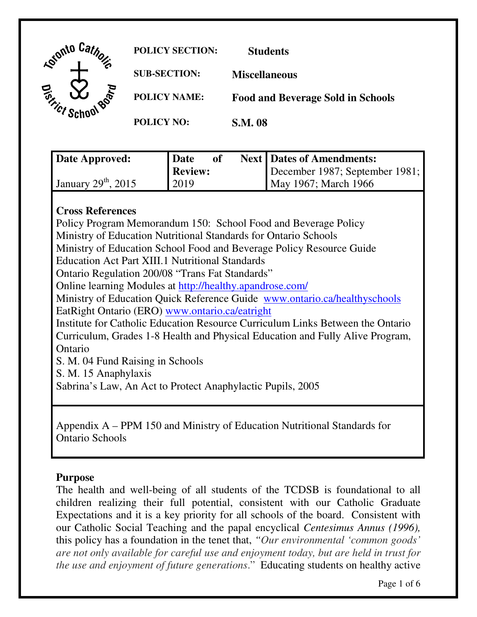| <b>Agricula</b> /                            | <b>POLICY SECTION:</b> | <b>Students</b>                          |
|----------------------------------------------|------------------------|------------------------------------------|
|                                              | <b>SUB-SECTION:</b>    | <b>Miscellaneous</b>                     |
| $\vec{e}_{\vec{r}_{\vec{k}}}$<br><b>BOTH</b> | <b>POLICY NAME:</b>    | <b>Food and Beverage Sold in Schools</b> |
|                                              | <b>POLICY NO:</b>      | <b>S.M. 08</b>                           |

| Date Approved:        | <b>Date</b><br>of | <b>Next   Dates of Amendments:</b> |
|-----------------------|-------------------|------------------------------------|
|                       | Review:           | December 1987; September 1981;     |
| January $29th$ , 2015 | 2019              | May 1967; March 1966               |

# **Cross References**

 Policy Program Memorandum 150: School Food and Beverage Policy Ministry of Education Nutritional Standards for Ontario Schools Ministry of Education School Food and Beverage Policy Resource Guide Education Act Part XIII.1 Nutritional Standards Ontario Regulation 200/08 "Trans Fat Standards" Online learning Modules at http://healthy.apandrose.com/ Ministry of Education Quick Reference Guide www.ontario.ca/healthyschools EatRight Ontario (ERO) www.ontario.ca/eatright Institute for Catholic Education Resource Curriculum Links Between the Ontario Curriculum, Grades 1-8 Health and Physical Education and Fully Alive Program, S. M. 04 Fund Raising in Schools Ontario

S. M. 15 Anaphylaxis

Sabrina's Law, An Act to Protect Anaphylactic Pupils, 2005

 Appendix A – PPM 150 and Ministry of Education Nutritional Standards for Ontario Schools

#### **Purpose**

 The health and well-being of all students of the TCDSB is foundational to all children realizing their full potential, consistent with our Catholic Graduate Expectations and it is a key priority for all schools of the board. Consistent with our Catholic Social Teaching and the papal encyclical *Centesimus Annus (1996),*  this policy has a foundation in the tenet that, *"Our environmental 'common goods' are not only available for careful use and enjoyment today, but are held in trust for the use and enjoyment of future generations*." Educating students on healthy active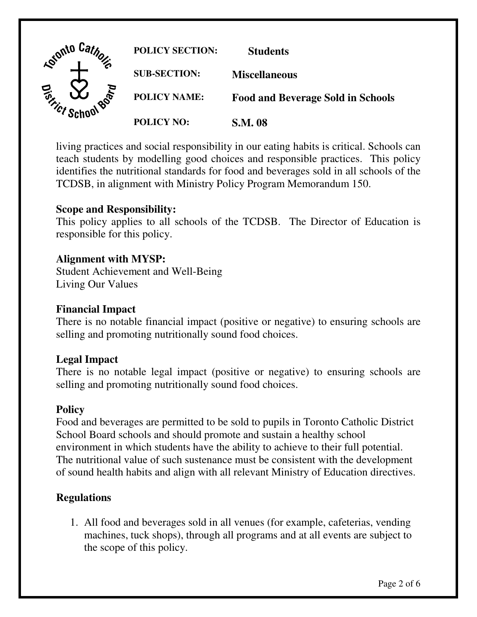

 living practices and social responsibility in our eating habits is critical. Schools can teach students by modelling good choices and responsible practices. This policy identifies the nutritional standards for food and beverages sold in all schools of the TCDSB, in alignment with Ministry Policy Program Memorandum 150.

## **Scope and Responsibility:**

 This policy applies to all schools of the TCDSB. The Director of Education is responsible for this policy.

#### **Alignment with MYSP:**

 Student Achievement and Well-Being Living Our Values

#### **Financial Impact**

 There is no notable financial impact (positive or negative) to ensuring schools are selling and promoting nutritionally sound food choices.

### **Legal Impact**

 There is no notable legal impact (positive or negative) to ensuring schools are selling and promoting nutritionally sound food choices.

## **Policy**

 Food and beverages are permitted to be sold to pupils in Toronto Catholic District School Board schools and should promote and sustain a healthy school environment in which students have the ability to achieve to their full potential. The nutritional value of such sustenance must be consistent with the development of sound health habits and align with all relevant Ministry of Education directives.

# **Regulations**

 1. All food and beverages sold in all venues (for example, cafeterias, vending machines, tuck shops), through all programs and at all events are subject to the scope of this policy.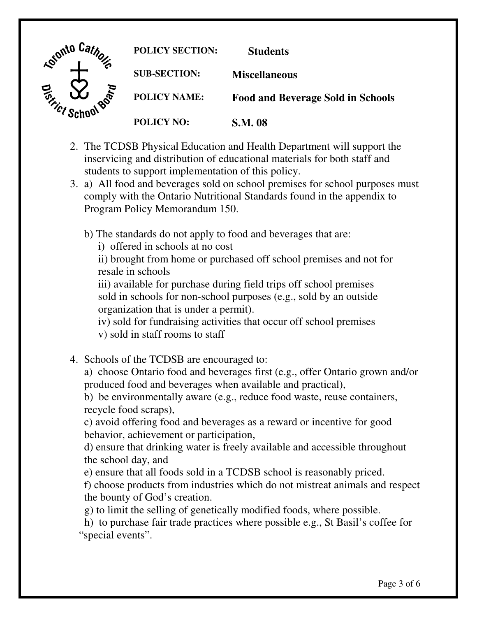

- 2. The TCDSB Physical Education and Health Department will support the inservicing and distribution of educational materials for both staff and students to support implementation of this policy.
- 3. a) All food and beverages sold on school premises for school purposes must comply with the Ontario Nutritional Standards found in the appendix to Program Policy Memorandum 150.
	- b) The standards do not apply to food and beverages that are:
		- i) offered in schools at no cost

 ii) brought from home or purchased off school premises and not for resale in schools

 iii) available for purchase during field trips off school premises sold in schools for non-school purposes (e.g., sold by an outside organization that is under a permit).

 iv) sold for fundraising activities that occur off school premises v) sold in staff rooms to staff

4. Schools of the TCDSB are encouraged to:

 a) choose Ontario food and beverages first (e.g., offer Ontario grown and/or produced food and beverages when available and practical),

 b) be environmentally aware (e.g., reduce food waste, reuse containers, recycle food scraps),

 c) avoid offering food and beverages as a reward or incentive for good behavior, achievement or participation,

 d) ensure that drinking water is freely available and accessible throughout the school day, and

e) ensure that all foods sold in a TCDSB school is reasonably priced.

 f) choose products from industries which do not mistreat animals and respect the bounty of God's creation.

g) to limit the selling of genetically modified foods, where possible.

 "special events". h) to purchase fair trade practices where possible e.g., St Basil's coffee for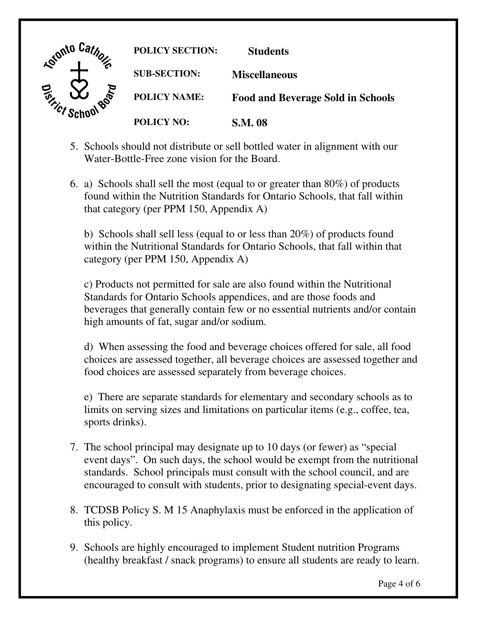

- 5. Schools should not distribute or sell bottled water in alignment with our Water-Bottle-Free zone vision for the Board.
- 6. a) Schools shall sell the most (equal to or greater than 80%) of products found within the Nutrition Standards for Ontario Schools, that fall within that category (per PPM 150, Appendix A)

 b) Schools shall sell less (equal to or less than 20%) of products found within the Nutritional Standards for Ontario Schools, that fall within that category (per PPM 150, Appendix A)

 c) Products not permitted for sale are also found within the Nutritional Standards for Ontario Schools appendices, and are those foods and beverages that generally contain few or no essential nutrients and/or contain high amounts of fat, sugar and/or sodium.

 d) When assessing the food and beverage choices offered for sale, all food choices are assessed together, all beverage choices are assessed together and food choices are assessed separately from beverage choices.

 e) There are separate standards for elementary and secondary schools as to limits on serving sizes and limitations on particular items (e.g., coffee, tea, sports drinks).

- 7. The school principal may designate up to 10 days (or fewer) as "special event days". On such days, the school would be exempt from the nutritional standards. School principals must consult with the school council, and are encouraged to consult with students, prior to designating special-event days.
- 8. TCDSB Policy S. M 15 Anaphylaxis must be enforced in the application of this policy.
- 9. Schools are highly encouraged to implement Student nutrition Programs (healthy breakfast / snack programs) to ensure all students are ready to learn.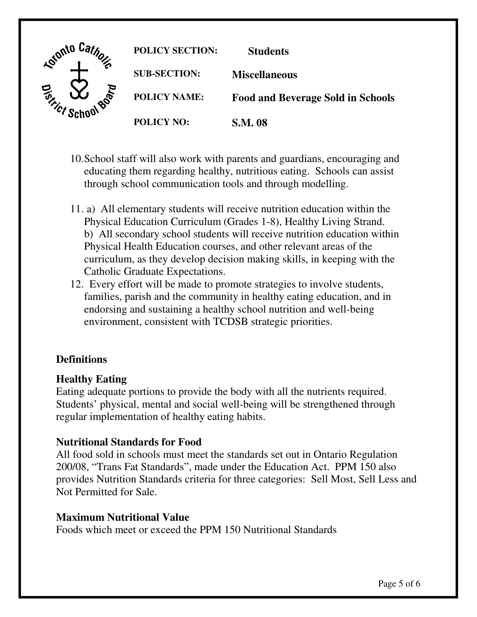

- 10.School staff will also work with parents and guardians, encouraging and educating them regarding healthy, nutritious eating. Schools can assist through school communication tools and through modelling.
- 11. a) All elementary students will receive nutrition education within the Physical Education Curriculum (Grades 1-8), Healthy Living Strand. b) All secondary school students will receive nutrition education within Physical Health Education courses, and other relevant areas of the curriculum, as they develop decision making skills, in keeping with the Catholic Graduate Expectations.
- 12. Every effort will be made to promote strategies to involve students, families, parish and the community in healthy eating education, and in endorsing and sustaining a healthy school nutrition and well-being environment, consistent with TCDSB strategic priorities.

# **Definitions**

## **Healthy Eating**

 Eating adequate portions to provide the body with all the nutrients required. Students' physical, mental and social well-being will be strengthened through regular implementation of healthy eating habits.

## **Nutritional Standards for Food**

 All food sold in schools must meet the standards set out in Ontario Regulation 200/08, "Trans Fat Standards", made under the Education Act. PPM 150 also provides Nutrition Standards criteria for three categories: Sell Most, Sell Less and Not Permitted for Sale.

#### **Maximum Nutritional Value**

Foods which meet or exceed the PPM 150 Nutritional Standards